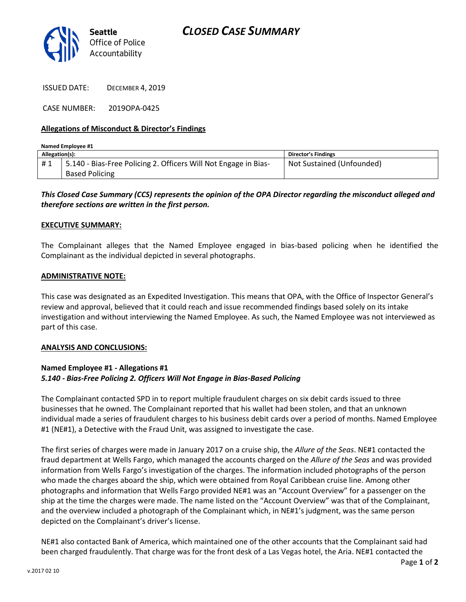



ISSUED DATE: DECEMBER 4, 2019

CASE NUMBER: 2019OPA-0425

## **Allegations of Misconduct & Director's Findings**

| Named Employee #1 |                                                                 |                           |
|-------------------|-----------------------------------------------------------------|---------------------------|
| Allegation(s):    |                                                                 | Director's Findings       |
|                   | 5.140 - Bias-Free Policing 2. Officers Will Not Engage in Bias- | Not Sustained (Unfounded) |
|                   | <b>Based Policing</b>                                           |                           |

## *This Closed Case Summary (CCS) represents the opinion of the OPA Director regarding the misconduct alleged and therefore sections are written in the first person.*

#### **EXECUTIVE SUMMARY:**

The Complainant alleges that the Named Employee engaged in bias-based policing when he identified the Complainant as the individual depicted in several photographs.

### **ADMINISTRATIVE NOTE:**

This case was designated as an Expedited Investigation. This means that OPA, with the Office of Inspector General's review and approval, believed that it could reach and issue recommended findings based solely on its intake investigation and without interviewing the Named Employee. As such, the Named Employee was not interviewed as part of this case.

#### **ANALYSIS AND CONCLUSIONS:**

## **Named Employee #1 - Allegations #1** *5.140 - Bias-Free Policing 2. Officers Will Not Engage in Bias-Based Policing*

The Complainant contacted SPD in to report multiple fraudulent charges on six debit cards issued to three businesses that he owned. The Complainant reported that his wallet had been stolen, and that an unknown individual made a series of fraudulent charges to his business debit cards over a period of months. Named Employee #1 (NE#1), a Detective with the Fraud Unit, was assigned to investigate the case.

The first series of charges were made in January 2017 on a cruise ship, the *Allure of the Seas*. NE#1 contacted the fraud department at Wells Fargo, which managed the accounts charged on the *Allure of the Seas* and was provided information from Wells Fargo's investigation of the charges. The information included photographs of the person who made the charges aboard the ship, which were obtained from Royal Caribbean cruise line. Among other photographs and information that Wells Fargo provided NE#1 was an "Account Overview" for a passenger on the ship at the time the charges were made. The name listed on the "Account Overview" was that of the Complainant, and the overview included a photograph of the Complainant which, in NE#1's judgment, was the same person depicted on the Complainant's driver's license.

NE#1 also contacted Bank of America, which maintained one of the other accounts that the Complainant said had been charged fraudulently. That charge was for the front desk of a Las Vegas hotel, the Aria. NE#1 contacted the